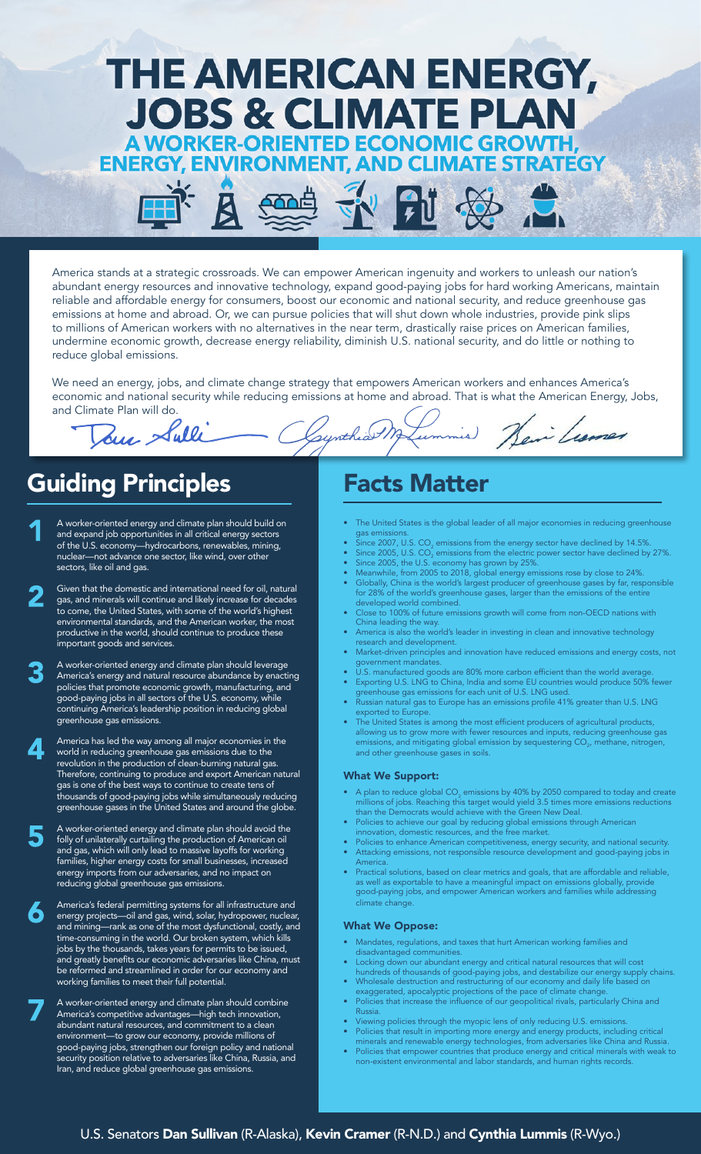

America stands at a strategic crossroads. We can empower American ingenuity and workers to unleash our nation's abundant energy resources and innovative technology, expand good-paying jobs for hard working Americans, maintain reliable and affordable energy for consumers, boost our economic and national security, and reduce greenhouse gas emissions at home and abroad. Or, we can pursue policies that will shut down whole industries, provide pink slips to millions of American workers with no alternatives in the near term, drastically raise prices on American families, undermine economic growth, decrease energy reliability, diminish U.S. national security, and do little or nothing to reduce global emissions.

We need an energy, jobs, and climate change strategy that empowers American workers and enhances America's economic and national security while reducing emissions at home and abroad. That is what the American Energy, Jobs, and Climate Plan will do.

Counthiat M

# Guiding Principles

Jour Sulli

- A worker-oriented energy and climate plan should build on and expand job opportunities in all critical energy sectors of the U.S. economy—hydrocarbons, renewables, mining, nuclear—not advance one sector, like wind, over other sectors, like oil and gas.
	- Given that the domestic and international need for oil, natural gas, and minerals will continue and likely increase for decades to come, the United States, with some of the world's highest environmental standards, and the American worker, the most productive in the world, should continue to produce these important goods and services.
	- A worker-oriented energy and climate plan should leverage America's energy and natural resource abundance by enacting policies that promote economic growth, manufacturing, and good-paying jobs in all sectors of the U.S. economy, while continuing America's leadership position in reducing global greenhouse gas emissions.
	- America has led the way among all major economies in the world in reducing greenhouse gas emissions due to the revolution in the production of clean-burning natural gas. Therefore, continuing to produce and export American natural gas is one of the best ways to continue to create tens of thousands of good-paying jobs while simultaneously reducing greenhouse gases in the United States and around the globe.

A worker-oriented energy and climate plan should avoid the folly of unilaterally curtailing the production of American oil and gas, which will only lead to massive layoffs for working families, higher energy costs for small businesses, increased energy imports from our adversaries, and no impact on reducing global greenhouse gas emissions.

America's federal permitting systems for all infrastructure and energy projects—oil and gas, wind, solar, hydropower, nuclear, and mining—rank as one of the most dysfunctional, costly, and time-consuming in the world. Our broken system, which kills jobs by the thousands, takes years for permits to be issued, and greatly benefits our economic adversaries like China, must be reformed and streamlined in order for our economy and working families to meet their full potential.

A worker-oriented energy and climate plan should combine America's competitive advantages—high tech innovation, abundant natural resources, and commitment to a clean environment—to grow our economy, provide millions of good-paying jobs, strengthen our foreign policy and national security position relative to adversaries like China, Russia, and Iran, and reduce global greenhouse gas emissions.

### Facts Matter

ummis)

The United States is the global leader of all major economies in reducing greenhouse gas emissions.

Heir Learnes

- $\bullet$  Since 2007, U.S. CO<sub>2</sub> emissions from the energy sector have declined by 14.5%.
- $\bullet$  Since 2005, U.S. CO $_2$  emissions from the electric power sector have declined by 27%. • Since 2005, the U.S. economy has grown by 25%.
- Meanwhile, from 2005 to 2018, global energy emissions rose by close to 24%.
- Globally, China is the world's largest producer of greenhouse gases by far, responsible for 28% of the world's greenhouse gases, larger than the emissions of the entire developed world combined.
- Close to 100% of future emissions growth will come from non-OECD nations with China leading the way.
- America is also the world's leader in investing in clean and innovative technology research and development.
- Market-driven principles and innovation have reduced emissions and energy costs, not government mandates.
- U.S. manufactured goods are 80% more carbon efficient than the world average. • Exporting U.S. LNG to China, India and some EU countries would produce 50% fewer
- greenhouse gas emissions for each unit of U.S. LNG used. • Russian natural gas to Europe has an emissions profile 41% greater than U.S. LNG exported to Europe.
- The United States is among the most efficient producers of agricultural products, allowing us to grow more with fewer resources and inputs, reducing greenhouse gas emissions, and mitigating global emission by sequestering CO $_{\tiny 2^\prime}$  methane, nitrogen, and other greenhouse gases in soils.

### What We Support:

- $\bullet$  A plan to reduce global CO<sub>2</sub> emissions by 40% by 2050 compared to today and create millions of jobs. Reaching this target would yield 3.5 times more emissions reductions than the Democrats would achieve with the Green New Deal.
- Policies to achieve our goal by reducing global emissions through American innovation, domestic resources, and the free market.
- Policies to enhance American competitiveness, energy security, and national security. • Attacking emissions, not responsible resource development and good-paying jobs in
- America. • Practical solutions, based on clear metrics and goals, that are affordable and reliable, as well as exportable to have a meaningful impact on emissions globally, provide good-paying jobs, and empower American workers and families while addressing climate change.

### What We Oppose:

- Mandates, regulations, and taxes that hurt American working families and disadvantaged communities.
- Locking down our abundant energy and critical natural resources that will cost hundreds of thousands of good-paying jobs, and destabilize our energy supply chains.
- Wholesale destruction and restructuring of our economy and daily life based on
- exaggerated, apocalyptic projections of the pace of climate change. Policies that increase the influence of our geopolitical rivals, particularly China and Russia.
- Viewing policies through the myopic lens of only reducing U.S. emissions.
- Policies that result in importing more energy and energy products, including critical minerals and renewable energy technologies, from adversaries like China and Russia.
- Policies that empower countries that produce energy and critical minerals with weak to non-existent environmental and labor standards, and human rights records.